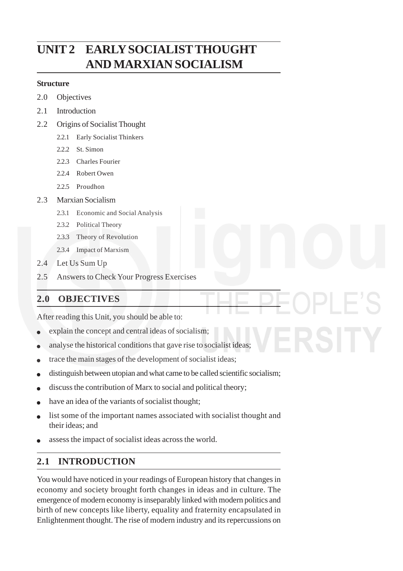# **Liberal Democracy UNIT 2 EARLY SOCIALIST THOUGHT AND MARXIAN SOCIALISM**

### **Structure**

- 2.0 Objectives
- 2.1 Introduction
- 2.2 Origins of Socialist Thought
	- 2.2.1 Early Socialist Thinkers
	- 2.2.2 St. Simon
	- 2.2.3 Charles Fourier
	- 2.2.4 Robert Owen
	- 2.2.5 Proudhon
- 2.3 Marxian Socialism
	- 2.3.1 Economic and Social Analysis
	- 2.3.2 Political Theory
	- 2.3.3 Theory of Revolution
	- 2.3.4 Impact of Marxism
- 2.4 Let Us Sum Up
- 2.5 Answers to Check Your Progress Exercises

# **2.0 OBJECTIVES**

After reading this Unit, you should be able to:

- explain the concept and central ideas of socialism;
- analyse the historical conditions that gave rise to socialist ideas;
- trace the main stages of the development of socialist ideas;
- distinguish between utopian and what came to be called scientific socialism;
- discuss the contribution of Marx to social and political theory;
- have an idea of the variants of socialist thought;
- list some of the important names associated with socialist thought and their ideas; and
- assess the impact of socialist ideas across the world.

# **2.1 INTRODUCTION**

You would have noticed in your readings of European history that changes in economy and society brought forth changes in ideas and in culture. The emergence of modern economy is inseparably linked with modern politics and birth of new concepts like liberty, equality and fraternity encapsulated in Enlightenment thought. The rise of modern industry and its repercussions on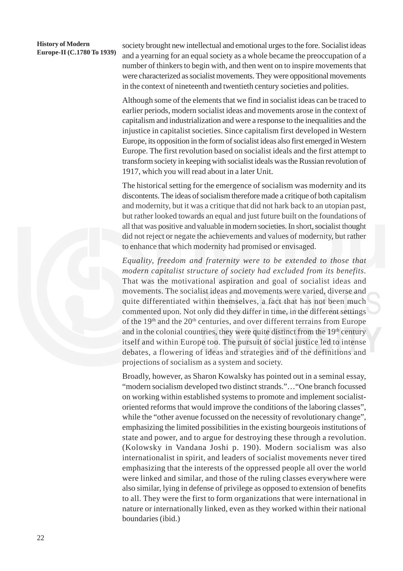# **History of Modern**

**Europe-II (C.1780 To 1939)** society brought new intellectual and emotional urges to the fore. Socialist ideas<br>**Europe-II (C.1780 To 1939)** and a vector for an equal society as a whole because the processuppion of a and a yearning for an equal society as a whole became the preoccupation of a number of thinkers to begin with, and then went on to inspire movements that were characterized as socialist movements. They were oppositional movements in the context of nineteenth and twentieth century societies and polities.

> Although some of the elements that we find in socialist ideas can be traced to earlier periods, modern socialist ideas and movements arose in the context of capitalism and industrialization and were a response to the inequalities and the injustice in capitalist societies. Since capitalism first developed in Western Europe, its opposition in the form of socialist ideas also first emerged in Western Europe. The first revolution based on socialist ideals and the first attempt to transform society in keeping with socialist ideals was the Russian revolution of 1917, which you will read about in a later Unit.

> The historical setting for the emergence of socialism was modernity and its discontents. The ideas of socialism therefore made a critique of both capitalism and modernity, but it was a critique that did not hark back to an utopian past, but rather looked towards an equal and just future built on the foundations of all that was positive and valuable in modern societies. In short, socialist thought did not reject or negate the achievements and values of modernity, but rather to enhance that which modernity had promised or envisaged.

> *Equality, freedom and fraternity were to be extended to those that modern capitalist structure of society had excluded from its benefits.* That was the motivational aspiration and goal of socialist ideas and movements. The socialist ideas and movements were varied, diverse and quite differentiated within themselves, a fact that has not been much commented upon. Not only did they differ in time, in the different settings of the 19<sup>th</sup> and the 20<sup>th</sup> centuries, and over different terrains from Europe and in the colonial countries, they were quite distinct from the 19<sup>th</sup> century itself and within Europe too. The pursuit of social justice led to intense debates, a flowering of ideas and strategies and of the definitions and projections of socialism as a system and society.

> Broadly, however, as Sharon Kowalsky has pointed out in a seminal essay, "modern socialism developed two distinct strands."…"One branch focussed on working within established systems to promote and implement socialistoriented reforms that would improve the conditions of the laboring classes", while the "other avenue focussed on the necessity of revolutionary change", emphasizing the limited possibilities in the existing bourgeois institutions of state and power, and to argue for destroying these through a revolution. (Kolowsky in Vandana Joshi p. 190). Modern socialism was also internationalist in spirit, and leaders of socialist movements never tired emphasizing that the interests of the oppressed people all over the world were linked and similar, and those of the ruling classes everywhere were also similar, lying in defense of privilege as opposed to extension of benefits to all. They were the first to form organizations that were international in nature or internationally linked, even as they worked within their national boundaries (ibid.)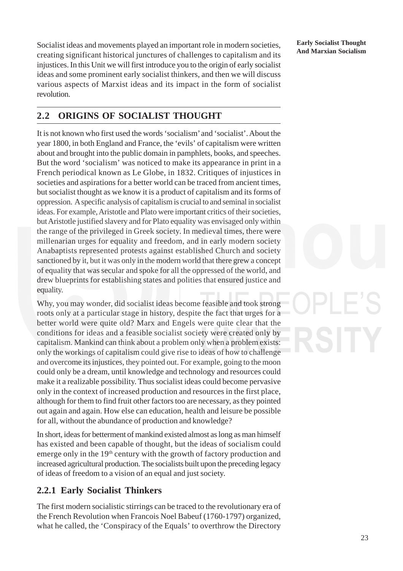**Socialist ideas and movements played an important role in modern societies, Learly Socialist Thought**<br>And Marxian Socialism creating significant historical junctures of challenges to capitalism and its injustices. In this Unit we will first introduce you to the origin of early socialist ideas and some prominent early socialist thinkers, and then we will discuss various aspects of Marxist ideas and its impact in the form of socialist revolution.

**Early Socialist Thought**

### **2.2 ORIGINS OF SOCIALIST THOUGHT**

It is not known who first used the words 'socialism' and 'socialist'. About the year 1800, in both England and France, the 'evils' of capitalism were written about and brought into the public domain in pamphlets, books, and speeches. But the word 'socialism' was noticed to make its appearance in print in a French periodical known as Le Globe, in 1832. Critiques of injustices in societies and aspirations for a better world can be traced from ancient times, but socialist thought as we know it is a product of capitalism and its forms of oppression. A specific analysis of capitalism is crucial to and seminal in socialist ideas. For example, Aristotle and Plato were important critics of their societies, but Aristotle justified slavery and for Plato equality was envisaged only within the range of the privileged in Greek society. In medieval times, there were millenarian urges for equality and freedom, and in early modern society Anabaptists represented protests against established Church and society sanctioned by it, but it was only in the modern world that there grew a concept of equality that was secular and spoke for all the oppressed of the world, and drew blueprints for establishing states and polities that ensured justice and equality.

Why, you may wonder, did socialist ideas become feasible and took strong roots only at a particular stage in history, despite the fact that urges for a better world were quite old? Marx and Engels were quite clear that the conditions for ideas and a feasible socialist society were created only by capitalism. Mankind can think about a problem only when a problem exists: only the workings of capitalism could give rise to ideas of how to challenge and overcome its injustices, they pointed out. For example, going to the moon could only be a dream, until knowledge and technology and resources could make it a realizable possibility. Thus socialist ideas could become pervasive only in the context of increased production and resources in the first place, although for them to find fruit other factors too are necessary, as they pointed out again and again. How else can education, health and leisure be possible for all, without the abundance of production and knowledge?

In short, ideas for betterment of mankind existed almost as long as man himself has existed and been capable of thought, but the ideas of socialism could emerge only in the 19<sup>th</sup> century with the growth of factory production and increased agricultural production. The socialists built upon the preceding legacy of ideas of freedom to a vision of an equal and just society.

### **2.2.1 Early Socialist Thinkers**

The first modern socialistic stirrings can be traced to the revolutionary era of the French Revolution when Francois Noel Babeuf (1760-1797) organized, what he called, the 'Conspiracy of the Equals' to overthrow the Directory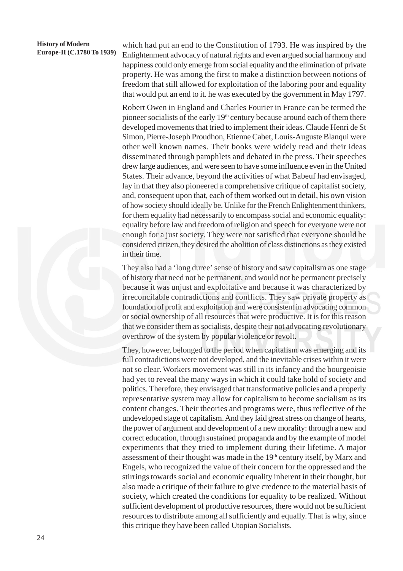which had put an end to the Constitution of 1793. He was inspired by the Enlightenment advocacy of natural rights and even argued social harmony and happiness could only emerge from social equality and the elimination of private property. He was among the first to make a distinction between notions of freedom that still allowed for exploitation of the laboring poor and equality that would put an end to it. he was executed by the government in May 1797.

Robert Owen in England and Charles Fourier in France can be termed the pioneer socialists of the early  $19<sup>th</sup>$  century because around each of them there developed movements that tried to implement their ideas. Claude Henri de St Simon, Pierre-Joseph Proudhon, Etienne Cabet, Louis-Auguste Blanqui were other well known names. Their books were widely read and their ideas disseminated through pamphlets and debated in the press. Their speeches drew large audiences, and were seen to have some influence even in the United States. Their advance, beyond the activities of what Babeuf had envisaged, lay in that they also pioneered a comprehensive critique of capitalist society, and, consequent upon that, each of them worked out in detail, his own vision of how society should ideally be. Unlike for the French Enlightenment thinkers, for them equality had necessarily to encompass social and economic equality: equality before law and freedom of religion and speech for everyone were not enough for a just society. They were not satisfied that everyone should be considered citizen, they desired the abolition of class distinctions as they existed in their time.

They also had a 'long duree' sense of history and saw capitalism as one stage of history that need not be permanent, and would not be permanent precisely because it was unjust and exploitative and because it was characterized by irreconcilable contradictions and conflicts. They saw private property as foundation of profit and exploitation and were consistent in advocating common or social ownership of all resources that were productive. It is for this reason that we consider them as socialists, despite their not advocating revolutionary overthrow of the system by popular violence or revolt.

They, however, belonged to the period when capitalism was emerging and its full contradictions were not developed, and the inevitable crises within it were not so clear. Workers movement was still in its infancy and the bourgeoisie had yet to reveal the many ways in which it could take hold of society and politics. Therefore, they envisaged that transformative policies and a properly representative system may allow for capitalism to become socialism as its content changes. Their theories and programs were, thus reflective of the undeveloped stage of capitalism. And they laid great stress on change of hearts, the power of argument and development of a new morality: through a new and correct education, through sustained propaganda and by the example of model experiments that they tried to implement during their lifetime. A major assessment of their thought was made in the  $19<sup>th</sup>$  century itself, by Marx and Engels, who recognized the value of their concern for the oppressed and the stirrings towards social and economic equality inherent in their thought, but also made a critique of their failure to give credence to the material basis of society, which created the conditions for equality to be realized. Without sufficient development of productive resources, there would not be sufficient resources to distribute among all sufficiently and equally. That is why, since this critique they have been called Utopian Socialists.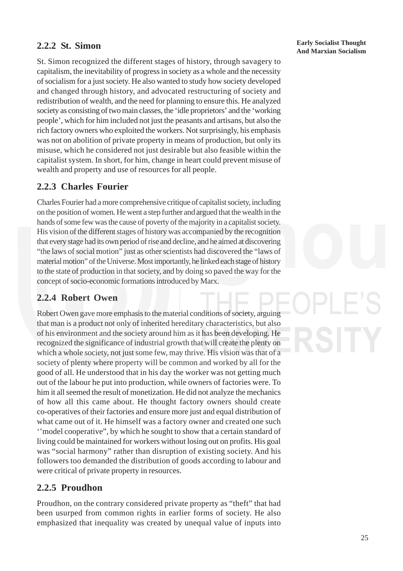St. Simon recognized the different stages of history, through savagery to capitalism, the inevitability of progress in society as a whole and the necessity of socialism for a just society. He also wanted to study how society developed and changed through history, and advocated restructuring of society and redistribution of wealth, and the need for planning to ensure this. He analyzed society as consisting of two main classes, the 'idle proprietors' and the 'working people', which for him included not just the peasants and artisans, but also the rich factory owners who exploited the workers. Not surprisingly, his emphasis was not on abolition of private property in means of production, but only its misuse, which he considered not just desirable but also feasible within the capitalist system. In short, for him, change in heart could prevent misuse of wealth and property and use of resources for all people.

### **2.2.3 Charles Fourier**

Charles Fourier had a more comprehensive critique of capitalist society, including on the position of women. He went a step further and argued that the wealth in the hands of some few was the cause of poverty of the majority in a capitalist society. His vision of the different stages of history was accompanied by the recognition that every stage had its own period of rise and decline, and he aimed at discovering "the laws of social motion" just as other scientists had discovered the "laws of material motion" of the Universe. Most importantly, he linked each stage of history to the state of production in that society, and by doing so paved the way for the concept of socio-economic formations introduced by Marx.

### **2.2.4 Robert Owen**

Robert Owen gave more emphasis to the material conditions of society, arguing that man is a product not only of inherited hereditary characteristics, but also of his environment and the society around him as it has been developing. He recognized the significance of industrial growth that will create the plenty on which a whole society, not just some few, may thrive. His vision was that of a society of plenty where property will be common and worked by all for the good of all. He understood that in his day the worker was not getting much out of the labour he put into production, while owners of factories were. To him it all seemed the result of monetization. He did not analyze the mechanics of how all this came about. He thought factory owners should create co-operatives of their factories and ensure more just and equal distribution of what came out of it. He himself was a factory owner and created one such ''model cooperative", by which he sought to show that a certain standard of living could be maintained for workers without losing out on profits. His goal was "social harmony" rather than disruption of existing society. And his followers too demanded the distribution of goods according to labour and were critical of private property in resources.

### **2.2.5 Proudhon**

Proudhon, on the contrary considered private property as "theft" that had been usurped from common rights in earlier forms of society. He also emphasized that inequality was created by unequal value of inputs into

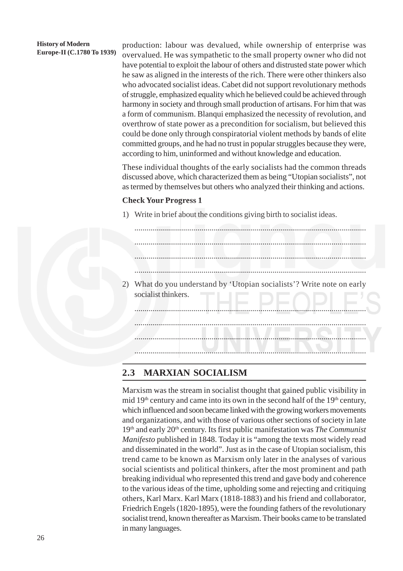production: labour was devalued, while ownership of enterprise was overvalued. He was sympathetic to the small property owner who did not have potential to exploit the labour of others and distrusted state power which he saw as aligned in the interests of the rich. There were other thinkers also who advocated socialist ideas. Cabet did not support revolutionary methods of struggle, emphasized equality which he believed could be achieved through harmony in society and through small production of artisans. For him that was a form of communism. Blanqui emphasized the necessity of revolution, and overthrow of state power as a precondition for socialism, but believed this could be done only through conspiratorial violent methods by bands of elite committed groups, and he had no trust in popular struggles because they were, according to him, uninformed and without knowledge and education.

These individual thoughts of the early socialists had the common threads discussed above, which characterized them as being "Utopian socialists", not as termed by themselves but others who analyzed their thinking and actions.

### **Check Your Progress 1**

1) Write in brief about the conditions giving birth to socialist ideas.



### **2.3 MARXIAN SOCIALISM**

Marxism was the stream in socialist thought that gained public visibility in mid  $19<sup>th</sup>$  century and came into its own in the second half of the  $19<sup>th</sup>$  century, which influenced and soon became linked with the growing workers movements and organizations, and with those of various other sections of society in late 19th and early 20th century. Its first public manifestation was *The Communist Manifesto* published in 1848. Today it is "among the texts most widely read and disseminated in the world". Just as in the case of Utopian socialism, this trend came to be known as Marxism only later in the analyses of various social scientists and political thinkers, after the most prominent and path breaking individual who represented this trend and gave body and coherence to the various ideas of the time, upholding some and rejecting and critiquing others, Karl Marx. Karl Marx (1818-1883) and his friend and collaborator, Friedrich Engels (1820-1895), were the founding fathers of the revolutionary socialist trend, known thereafter as Marxism. Their books came to be translated in many languages.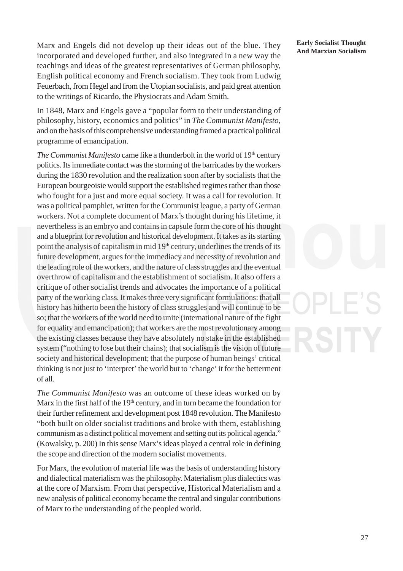Marx and Engels did not develop up their ideas out of the blue. They **Early Socialist Thought** incorporated and developed further, and also integrated in a new way the teachings and ideas of the greatest representatives of German philosophy, English political economy and French socialism. They took from Ludwig Feuerbach, from Hegel and from the Utopian socialists, and paid great attention to the writings of Ricardo, the Physiocrats and Adam Smith.

In 1848, Marx and Engels gave a "popular form to their understanding of philosophy, history, economics and politics" in *The Communist Manifesto*, and on the basis of this comprehensive understanding framed a practical political programme of emancipation.

*The Communist Manifesto* came like a thunderbolt in the world of 19<sup>th</sup> century politics. Its immediate contact was the storming of the barricades by the workers during the 1830 revolution and the realization soon after by socialists that the European bourgeoisie would support the established regimes rather than those who fought for a just and more equal society. It was a call for revolution. It was a political pamphlet, written for the Communist league, a party of German workers. Not a complete document of Marx's thought during his lifetime, it nevertheless is an embryo and contains in capsule form the core of his thought and a blueprint for revolution and historical development. It takes as its starting point the analysis of capitalism in mid 19th century, underlines the trends of its future development, argues for the immediacy and necessity of revolution and the leading role of the workers, and the nature of class struggles and the eventual overthrow of capitalism and the establishment of socialism. It also offers a critique of other socialist trends and advocates the importance of a political party of the working class. It makes three very significant formulations: that all history has hitherto been the history of class struggles and will continue to be so; that the workers of the world need to unite (international nature of the fight for equality and emancipation); that workers are the most revolutionary among the existing classes because they have absolutely no stake in the established system ("nothing to lose but their chains); that socialism is the vision of future society and historical development; that the purpose of human beings' critical thinking is not just to 'interpret' the world but to 'change' it for the betterment of all.

*The Communist Manifesto* was an outcome of these ideas worked on by Marx in the first half of the 19<sup>th</sup> century, and in turn became the foundation for their further refinement and development post 1848 revolution. The Manifesto "both built on older socialist traditions and broke with them, establishing communism as a distinct political movement and setting out its political agenda." (Kowalsky, p. 200) In this sense Marx's ideas played a central role in defining the scope and direction of the modern socialist movements.

For Marx, the evolution of material life was the basis of understanding history and dialectical materialism was the philosophy. Materialism plus dialectics was at the core of Marxism. From that perspective, Historical Materialism and a new analysis of political economy became the central and singular contributions of Marx to the understanding of the peopled world.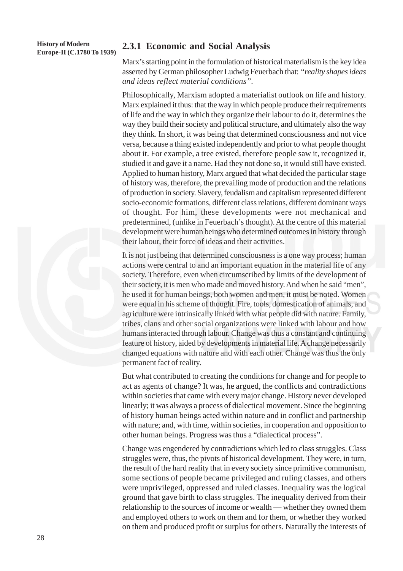# **History of Modern**

# **Europe-II (C.1780 To 1939) 2.3.1 Economic and Social Analysis**

Marx's starting point in the formulation of historical materialism is the key idea asserted by German philosopher Ludwig Feuerbach that: *"reality shapes ideas and ideas reflect material conditions".*

Philosophically, Marxism adopted a materialist outlook on life and history. Marx explained it thus: that the way in which people produce their requirements of life and the way in which they organize their labour to do it, determines the way they build their society and political structure, and ultimately also the way they think. In short, it was being that determined consciousness and not vice versa, because a thing existed independently and prior to what people thought about it. For example, a tree existed, therefore people saw it, recognized it, studied it and gave it a name. Had they not done so, it would still have existed. Applied to human history, Marx argued that what decided the particular stage of history was, therefore, the prevailing mode of production and the relations of production in society. Slavery, feudalism and capitalism represented different socio-economic formations, different class relations, different dominant ways of thought. For him, these developments were not mechanical and predetermined, (unlike in Feuerbach's thought). At the centre of this material development were human beings who determined outcomes in history through their labour, their force of ideas and their activities.

It is not just being that determined consciousness is a one way process; human actions were central to and an important equation in the material life of any society. Therefore, even when circumscribed by limits of the development of their society, it is men who made and moved history. And when he said "men", he used it for human beings, both women and men, it must be noted. Women were equal in his scheme of thought. Fire, tools, domestication of animals, and agriculture were intrinsically linked with what people did with nature. Family, tribes, clans and other social organizations were linked with labour and how humans interacted through labour. Change was thus a constant and continuing feature of history, aided by developments in material life. A change necessarily changed equations with nature and with each other. Change was thus the only permanent fact of reality.

But what contributed to creating the conditions for change and for people to act as agents of change? It was, he argued, the conflicts and contradictions within societies that came with every major change. History never developed linearly; it was always a process of dialectical movement. Since the beginning of history human beings acted within nature and in conflict and partnership with nature; and, with time, within societies, in cooperation and opposition to other human beings. Progress was thus a "dialectical process".

Change was engendered by contradictions which led to class struggles. Class struggles were, thus, the pivots of historical development. They were, in turn, the result of the hard reality that in every society since primitive communism, some sections of people became privileged and ruling classes, and others were unprivileged, oppressed and ruled classes. Inequality was the logical ground that gave birth to class struggles. The inequality derived from their relationship to the sources of income or wealth — whether they owned them and employed others to work on them and for them, or whether they worked on them and produced profit or surplus for others. Naturally the interests of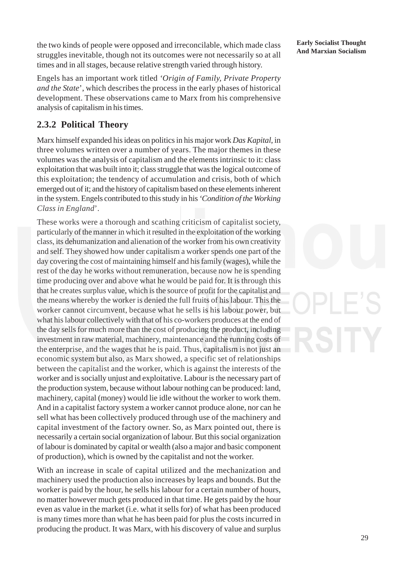the two kinds of people were opposed and irreconcilable, which made class **Early Socialist Thought** struggles inevitable, though not its outcomes were not necessarily so at all times and in all stages, because relative strength varied through history.

Engels has an important work titled *'Origin of Family, Private Property and the State*', which describes the process in the early phases of historical development. These observations came to Marx from his comprehensive analysis of capitalism in his times.

# **2.3.2 Political Theory**

Marx himself expanded his ideas on politics in his major work *Das Kapital*, in three volumes written over a number of years. The major themes in these volumes was the analysis of capitalism and the elements intrinsic to it: class exploitation that was built into it; class struggle that was the logical outcome of this exploitation; the tendency of accumulation and crisis, both of which emerged out of it; and the history of capitalism based on these elements inherent in the system. Engels contributed to this study in his *'Condition of the Working Class in England*'.

These works were a thorough and scathing criticism of capitalist society, particularly of the manner in which it resulted in the exploitation of the working class, its dehumanization and alienation of the worker from his own creativity and self. They showed how under capitalism a worker spends one part of the day covering the cost of maintaining himself and his family (wages), while the rest of the day he works without remuneration, because now he is spending time producing over and above what he would be paid for. It is through this that he creates surplus value, which is the source of profit for the capitalist and the means whereby the worker is denied the full fruits of his labour. This the worker cannot circumvent, because what he sells is his labour power, but what his labour collectively with that of his co-workers produces at the end of the day sells for much more than the cost of producing the product, including investment in raw material, machinery, maintenance and the running costs of the enterprise, and the wages that he is paid. Thus, capitalism is not just an economic system but also, as Marx showed, a specific set of relationships between the capitalist and the worker, which is against the interests of the worker and is socially unjust and exploitative. Labour is the necessary part of the production system, because without labour nothing can be produced: land, machinery, capital (money) would lie idle without the worker to work them. And in a capitalist factory system a worker cannot produce alone, nor can he sell what has been collectively produced through use of the machinery and capital investment of the factory owner. So, as Marx pointed out, there is necessarily a certain social organization of labour. But this social organization of labour is dominated by capital or wealth (also a major and basic component of production), which is owned by the capitalist and not the worker.

With an increase in scale of capital utilized and the mechanization and machinery used the production also increases by leaps and bounds. But the worker is paid by the hour, he sells his labour for a certain number of hours, no matter however much gets produced in that time. He gets paid by the hour even as value in the market (i.e. what it sells for) of what has been produced is many times more than what he has been paid for plus the costs incurred in producing the product. It was Marx, with his discovery of value and surplus

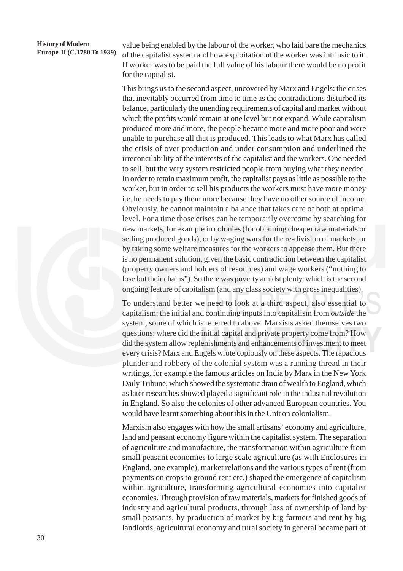value being enabled by the labour of the worker, who laid bare the mechanics of the capitalist system and how exploitation of the worker was intrinsic to it. If worker was to be paid the full value of his labour there would be no profit for the capitalist.

This brings us to the second aspect, uncovered by Marx and Engels: the crises that inevitably occurred from time to time as the contradictions disturbed its balance, particularly the unending requirements of capital and market without which the profits would remain at one level but not expand. While capitalism produced more and more, the people became more and more poor and were unable to purchase all that is produced. This leads to what Marx has called the crisis of over production and under consumption and underlined the irreconcilability of the interests of the capitalist and the workers. One needed to sell, but the very system restricted people from buying what they needed. In order to retain maximum profit, the capitalist pays as little as possible to the worker, but in order to sell his products the workers must have more money i.e. he needs to pay them more because they have no other source of income. Obviously, he cannot maintain a balance that takes care of both at optimal level. For a time those crises can be temporarily overcome by searching for new markets, for example in colonies (for obtaining cheaper raw materials or selling produced goods), or by waging wars for the re-division of markets, or by taking some welfare measures for the workers to appease them. But there is no permanent solution, given the basic contradiction between the capitalist (property owners and holders of resources) and wage workers ("nothing to lose but their chains"). So there was poverty amidst plenty, which is the second ongoing feature of capitalism (and any class society with gross inequalities).

To understand better we need to look at a third aspect, also essential to capitalism: the initial and continuing inputs into capitalism from *outside* the system, some of which is referred to above. Marxists asked themselves two questions: where did the initial capital and private property come from? How did the system allow replenishments and enhancements of investment to meet every crisis? Marx and Engels wrote copiously on these aspects. The rapacious plunder and robbery of the colonial system was a running thread in their writings, for example the famous articles on India by Marx in the New York Daily Tribune, which showed the systematic drain of wealth to England, which as later researches showed played a significant role in the industrial revolution in England. So also the colonies of other advanced European countries. You would have learnt something about this in the Unit on colonialism.

Marxism also engages with how the small artisans' economy and agriculture, land and peasant economy figure within the capitalist system. The separation of agriculture and manufacture, the transformation within agriculture from small peasant economies to large scale agriculture (as with Enclosures in England, one example), market relations and the various types of rent (from payments on crops to ground rent etc.) shaped the emergence of capitalism within agriculture, transforming agricultural economies into capitalist economies. Through provision of raw materials, markets for finished goods of industry and agricultural products, through loss of ownership of land by small peasants, by production of market by big farmers and rent by big landlords, agricultural economy and rural society in general became part of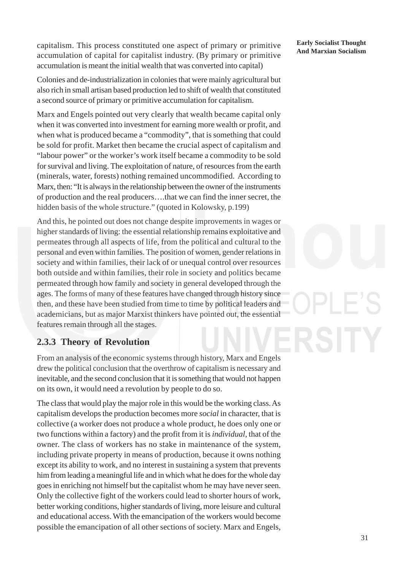capitalism. This process constituted one aspect of primary or primitive **Early Socialist Thought** accumulation of capital for capitalist industry. (By primary or primitive accumulation is meant the initial wealth that was converted into capital)

Colonies and de-industrialization in colonies that were mainly agricultural but also rich in small artisan based production led to shift of wealth that constituted a second source of primary or primitive accumulation for capitalism.

Marx and Engels pointed out very clearly that wealth became capital only when it was converted into investment for earning more wealth or profit, and when what is produced became a "commodity", that is something that could be sold for profit. Market then became the crucial aspect of capitalism and "labour power" or the worker's work itself became a commodity to be sold for survival and living. The exploitation of nature, of resources from the earth (minerals, water, forests) nothing remained uncommodified. According to Marx, then: "It is always in the relationship between the owner of the instruments of production and the real producers….that we can find the inner secret, the hidden basis of the whole structure." (quoted in Kolowsky, p.199)

And this, he pointed out does not change despite improvements in wages or higher standards of living: the essential relationship remains exploitative and permeates through all aspects of life, from the political and cultural to the personal and even within families. The position of women, gender relations in society and within families, their lack of or unequal control over resources both outside and within families, their role in society and politics became permeated through how family and society in general developed through the ages. The forms of many of these features have changed through history since then, and these have been studied from time to time by political leaders and academicians, but as major Marxist thinkers have pointed out, the essential features remain through all the stages.

### **2.3.3 Theory of Revolution**

From an analysis of the economic systems through history, Marx and Engels drew the political conclusion that the overthrow of capitalism is necessary and inevitable, and the second conclusion that it is something that would not happen on its own, it would need a revolution by people to do so.

The class that would play the major role in this would be the working class. As capitalism develops the production becomes more *social* in character, that is collective (a worker does not produce a whole product, he does only one or two functions within a factory) and the profit from it is *individual*, that of the owner. The class of workers has no stake in maintenance of the system, including private property in means of production, because it owns nothing except its ability to work, and no interest in sustaining a system that prevents him from leading a meaningful life and in which what he does for the whole day goes in enriching not himself but the capitalist whom he may have never seen. Only the collective fight of the workers could lead to shorter hours of work, better working conditions, higher standards of living, more leisure and cultural and educational access. With the emancipation of the workers would become possible the emancipation of all other sections of society. Marx and Engels,

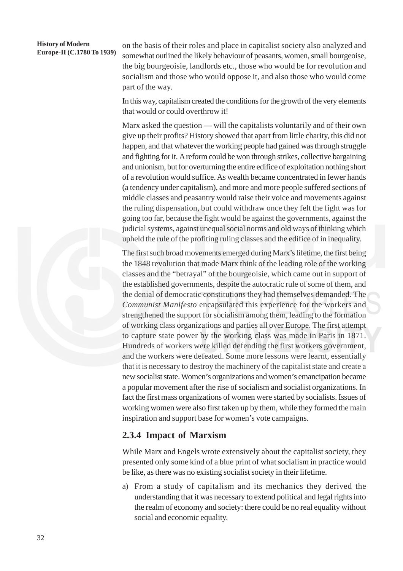# **History of Modern**

**EUR EUROPE-II (C.1780 To 1939)** on the basis of their roles and place in capitalist society also analyzed and **Europe-II** (C.1780 To 1939) computed outlined the likely behaviour of passents, we may small how processes somewhat outlined the likely behaviour of peasants, women, small bourgeoise, the big bourgeoisie, landlords etc., those who would be for revolution and socialism and those who would oppose it, and also those who would come part of the way.

> In this way, capitalism created the conditions for the growth of the very elements that would or could overthrow it!

> Marx asked the question — will the capitalists voluntarily and of their own give up their profits? History showed that apart from little charity, this did not happen, and that whatever the working people had gained was through struggle and fighting for it. A reform could be won through strikes, collective bargaining and unionism, but for overturning the entire edifice of exploitation nothing short of a revolution would suffice. As wealth became concentrated in fewer hands (a tendency under capitalism), and more and more people suffered sections of middle classes and peasantry would raise their voice and movements against the ruling dispensation, but could withdraw once they felt the fight was for going too far, because the fight would be against the governments, against the judicial systems, against unequal social norms and old ways of thinking which upheld the rule of the profiting ruling classes and the edifice of in inequality.

> The first such broad movements emerged during Marx's lifetime, the first being the 1848 revolution that made Marx think of the leading role of the working classes and the "betrayal" of the bourgeoisie, which came out in support of the established governments, despite the autocratic rule of some of them, and the denial of democratic constitutions they had themselves demanded. The *Communist Manifesto* encapsulated this experience for the workers and strengthened the support for socialism among them, leading to the formation of working class organizations and parties all over Europe. The first attempt to capture state power by the working class was made in Paris in 1871. Hundreds of workers were killed defending the first workers government, and the workers were defeated. Some more lessons were learnt, essentially that it is necessary to destroy the machinery of the capitalist state and create a new socialist state. Women's organizations and women's emancipation became a popular movement after the rise of socialism and socialist organizations. In fact the first mass organizations of women were started by socialists. Issues of working women were also first taken up by them, while they formed the main inspiration and support base for women's vote campaigns.

### **2.3.4 Impact of Marxism**

While Marx and Engels wrote extensively about the capitalist society, they presented only some kind of a blue print of what socialism in practice would be like, as there was no existing socialist society in their lifetime.

a) From a study of capitalism and its mechanics they derived the understanding that it was necessary to extend political and legal rights into the realm of economy and society: there could be no real equality without social and economic equality.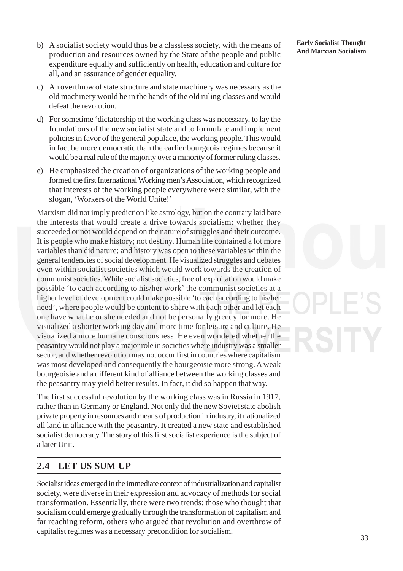- b) A socialist society would thus be a classless society, with the means of **Early Socialist Thought** production and resources owned by the State of the people and public expenditure equally and sufficiently on health, education and culture for all, and an assurance of gender equality.
- c) An overthrow of state structure and state machinery was necessary as the old machinery would be in the hands of the old ruling classes and would defeat the revolution.
- d) For sometime 'dictatorship of the working class was necessary, to lay the foundations of the new socialist state and to formulate and implement policies in favor of the general populace, the working people. This would in fact be more democratic than the earlier bourgeois regimes because it would be a real rule of the majority over a minority of former ruling classes.
- e) He emphasized the creation of organizations of the working people and formed the first International Working men's Association, which recognized that interests of the working people everywhere were similar, with the slogan, 'Workers of the World Unite!'

Marxism did not imply prediction like astrology, but on the contrary laid bare the interests that would create a drive towards socialism: whether they succeeded or not would depend on the nature of struggles and their outcome. It is people who make history; not destiny. Human life contained a lot more variables than did nature; and history was open to these variables within the general tendencies of social development. He visualized struggles and debates even within socialist societies which would work towards the creation of communist societies. While socialist societies, free of exploitation would make possible 'to each according to his/her work' the communist societies at a higher level of development could make possible 'to each according to his/her need', where people would be content to share with each other and let each one have what he or she needed and not be personally greedy for more. He visualized a shorter working day and more time for leisure and culture. He visualized a more humane consciousness. He even wondered whether the peasantry would not play a major role in societies where industry was a smaller sector, and whether revolution may not occur first in countries where capitalism was most developed and consequently the bourgeoisie more strong. A weak bourgeoisie and a different kind of alliance between the working classes and the peasantry may yield better results. In fact, it did so happen that way.

The first successful revolution by the working class was in Russia in 1917, rather than in Germany or England. Not only did the new Soviet state abolish private property in resources and means of production in industry, it nationalized all land in alliance with the peasantry. It created a new state and established socialist democracy. The story of this first socialist experience is the subject of a later Unit.

# **2.4 LET US SUM UP**

Socialist ideas emerged in the immediate context of industrialization and capitalist society, were diverse in their expression and advocacy of methods for social transformation. Essentially, there were two trends: those who thought that socialism could emerge gradually through the transformation of capitalism and far reaching reform, others who argued that revolution and overthrow of capitalist regimes was a necessary precondition for socialism.